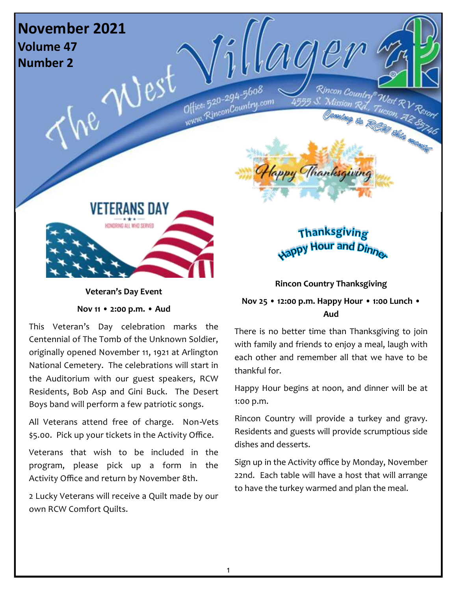

**Veteran's Day Event** 

**Nov 11 • 2:00 p.m. • Aud**

This Veteran's Day celebration marks the Centennial of The Tomb of the Unknown Soldier, originally opened November 11, 1921 at Arlington National Cemetery. The celebrations will start in the Auditorium with our guest speakers, RCW Residents, Bob Asp and Gini Buck. The Desert Boys band will perform a few patriotic songs.

All Veterans attend free of charge. Non-Vets \$5.00. Pick up your tickets in the Activity Office.

Veterans that wish to be included in the program, please pick up a form in the Activity Office and return by November 8th.

2 Lucky Veterans will receive a Quilt made by our own RCW Comfort Quilts.

**Rincon Country Thanksgiving** 

### **Nov 25 • 12:00 p.m. Happy Hour • 1:00 Lunch • Aud**

There is no better time than Thanksgiving to join with family and friends to enjoy a meal, laugh with each other and remember all that we have to be thankful for.

Happy Hour begins at noon, and dinner will be at 1:00 p.m.

Rincon Country will provide a turkey and gravy. Residents and guests will provide scrumptious side dishes and desserts.

Sign up in the Activity office by Monday, November 22nd. Each table will have a host that will arrange to have the turkey warmed and plan the meal.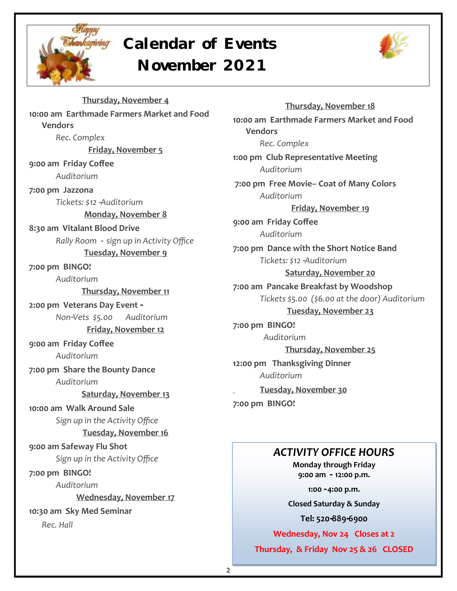

### **Calendar of Events November 2021**



**Thursday, November 4 10:00 am Earthmade Farmers Market and Food Vendors** *Rec. Complex*  **Friday, November 5 9:00 am Friday Coffee** *Auditorium*  **7:00 pm Jazzona** *Tickets: \$12 -Auditorium*  **Monday, November 8 8:30 am Vitalant Blood Drive** *Rally Room - sign up in Activity Office* **Tuesday, November 9 7:00 pm BINGO!** *Auditorium*  **Thursday, November 11 2:00 pm Veterans Day Event -** *Non-Vets \$5.00 Auditorium*  **Friday, November 12 9:00 am Friday Coffee** *Auditorium*  **7:00 pm Share the Bounty Dance** *Auditorium*  **Saturday, November 13 10:00 am Walk Around Sale** *Sign up in the Activity Office* **Tuesday, November 16 9:00 am Safeway Flu Shot** *Sign up in the Activity Office* **7:00 pm BINGO!** *Auditorium*  **Wednesday, November 17 10:30 am Sky Med Seminar**  *Rec. Hall* 

**Thursday, November 18 10:00 am Earthmade Farmers Market and Food Vendors** *Rec. Complex*  **1:00 pm Club Representative Meeting**  *Auditorium*  **7:00 pm Free Movie– Coat of Many Colors**  *Auditorium*  **Friday, November 19 9:00 am Friday Coffee** *Auditorium*  **7:00 pm Dance with the Short Notice Band** *Tickets: \$12 -Auditorium*  **Saturday, November 20 7:00 am Pancake Breakfast by Woodshop** *Tickets \$5.00 (\$6.00 at the door) Auditorium*  **Tuesday, November 23 7:00 pm BINGO!**  *Auditorium*  **Thursday, November 25 12:00 pm Thanksgiving Dinner** *Auditorium*  **Tuesday, November 30 7:00 pm BINGO!**

### *ACTIVITY OFFICE HOURS*

**Monday through Friday 9:00 am - 12:00 p.m.**

**1:00 - 4:00 p.m.**

**Closed Saturday & Sunday**

**Tel: 520-889-6900**

**Wednesday, Nov 24 Closes at 2**

**Thursday, & Friday Nov 25 & 26 CLOSED**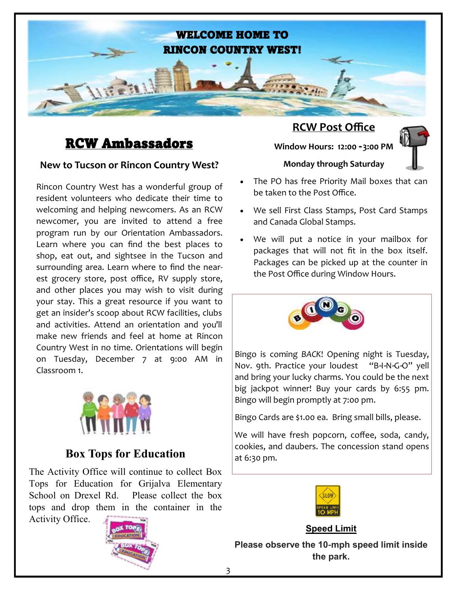

### RCW Ambassadors

### **New to Tucson or Rincon Country West?**

Rincon Country West has a wonderful group of resident volunteers who dedicate their time to welcoming and helping newcomers. As an RCW newcomer, you are invited to attend a free program run by our Orientation Ambassadors. Learn where you can find the best places to shop, eat out, and sightsee in the Tucson and surrounding area. Learn where to find the nearest grocery store, post office, RV supply store, and other places you may wish to visit during your stay. This a great resource if you want to get an insider's scoop about RCW facilities, clubs and activities. Attend an orientation and you'll make new friends and feel at home at Rincon Country West in no time. Orientations will begin on Tuesday, December 7 at 9:00 AM in Classroom 1.



### **Box Tops for Education**

The Activity Office will continue to collect Box Tops for Education for Grijalva Elementary School on Drexel Rd. Please collect the box tops and drop them in the container in the Activity Office.



### **RCW Post Office**

**Window Hours: 12:00 - 3:00 PM**



- The PO has free Priority Mail boxes that can be taken to the Post Office.
- We sell First Class Stamps, Post Card Stamps and Canada Global Stamps.
- We will put a notice in your mailbox for packages that will not fit in the box itself. Packages can be picked up at the counter in the Post Office during Window Hours.



Bingo is coming *BACK*! Opening night is Tuesday, Nov. 9th. Practice your loudest "B-I-N-G-O" yell and bring your lucky charms. You could be the next big jackpot winner! Buy your cards by 6:55 pm. Bingo will begin promptly at 7:00 pm.

Bingo Cards are \$1.00 ea. Bring small bills, please.

We will have fresh popcorn, coffee, soda, candy, cookies, and daubers. The concession stand opens at 6:30 pm.



**Speed Limit**

**Please observe the 10-mph speed limit inside the park.**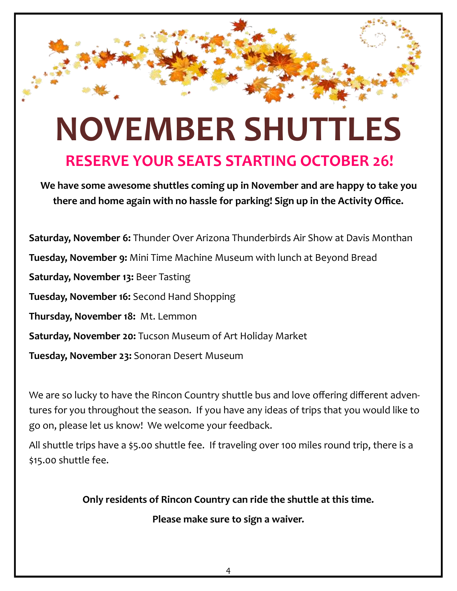# **NOVEMBER SHUTTLES**

### **RESERVE YOUR SEATS STARTING OCTOBER 26!**

**We have some awesome shuttles coming up in November and are happy to take you there and home again with no hassle for parking! Sign up in the Activity Office.** 

**Saturday, November 6:** Thunder Over Arizona Thunderbirds Air Show at Davis Monthan **Tuesday, November 9:** Mini Time Machine Museum with lunch at Beyond Bread **Saturday, November 13:** Beer Tasting **Tuesday, November 16:** Second Hand Shopping **Thursday, November 18:** Mt. Lemmon **Saturday, November 20:** Tucson Museum of Art Holiday Market **Tuesday, November 23:** Sonoran Desert Museum

We are so lucky to have the Rincon Country shuttle bus and love offering different adventures for you throughout the season. If you have any ideas of trips that you would like to go on, please let us know! We welcome your feedback.

All shuttle trips have a \$5.00 shuttle fee. If traveling over 100 miles round trip, there is a \$15.00 shuttle fee.

**Only residents of Rincon Country can ride the shuttle at this time.** 

**Please make sure to sign a waiver.**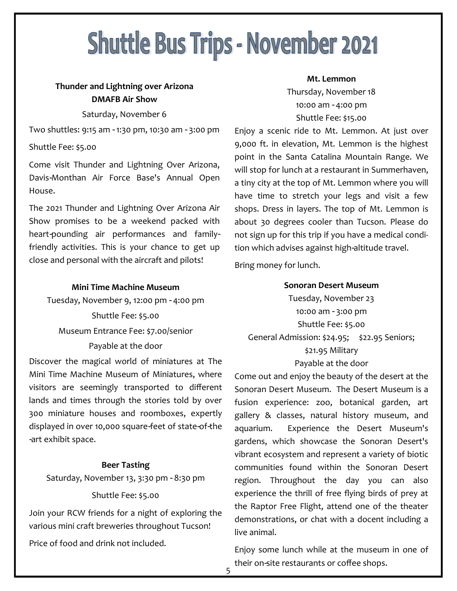# **Shuttle Bus Trips - November 2021**

### **Thunder and Lightning over Arizona DMAFB Air Show**

### Saturday, November 6

Two shuttles: 9:15 am - 1:30 pm, 10:30 am - 3:00 pm

### Shuttle Fee: \$5.00

Come visit Thunder and Lightning Over Arizona, Davis-Monthan Air Force Base's Annual Open House.

The 2021 Thunder and Lightning Over Arizona Air Show promises to be a weekend packed with heart-pounding air performances and familyfriendly activities. This is your chance to get up close and personal with the aircraft and pilots!

### **Mini Time Machine Museum**

Tuesday, November 9, 12:00 pm - 4:00 pm Shuttle Fee: \$5.00 Museum Entrance Fee: \$7.00/senior Payable at the door

Discover the magical world of miniatures at The Mini Time Machine Museum of Miniatures, where visitors are seemingly transported to different lands and times through the stories told by over 300 miniature houses and roomboxes, expertly displayed in over 10,000 square-feet of state-of-the -art exhibit space.

### **Beer Tasting**

Saturday, November 13, 3:30 pm - 8:30 pm

#### Shuttle Fee: \$5.00

Join your RCW friends for a night of exploring the various mini craft breweries throughout Tucson!

Price of food and drink not included.

#### **Mt. Lemmon**

Thursday, November 18 10:00 am - 4:00 pm Shuttle Fee: \$15.00

Enjoy a scenic ride to Mt. Lemmon. At just over 9,000 ft. in elevation, Mt. Lemmon is the highest point in the Santa Catalina Mountain Range. We will stop for lunch at a restaurant in Summerhaven, a tiny city at the top of Mt. Lemmon where you will have time to stretch your legs and visit a few shops. Dress in layers. The top of Mt. Lemmon is about 30 degrees cooler than Tucson. Please do not sign up for this trip if you have a medical condition which advises against high-altitude travel.

Bring money for lunch.

#### **Sonoran Desert Museum**

Tuesday, November 23 10:00 am - 3:00 pm Shuttle Fee: \$5.00 General Admission: \$24.95; \$22.95 Seniors; \$21.95 Military Payable at the door

Come out and enjoy the beauty of the desert at the Sonoran Desert Museum. The Desert Museum is a fusion experience: zoo, botanical garden, art gallery & classes, natural history museum, and aquarium. Experience the Desert Museum's gardens, which showcase the Sonoran Desert's vibrant ecosystem and represent a variety of biotic communities found within the Sonoran Desert region. Throughout the day you can also experience the thrill of free flying birds of prey at the Raptor Free Flight, attend one of the theater demonstrations, or chat with a docent including a live animal.

Enjoy some lunch while at the museum in one of their on-site restaurants or coffee shops.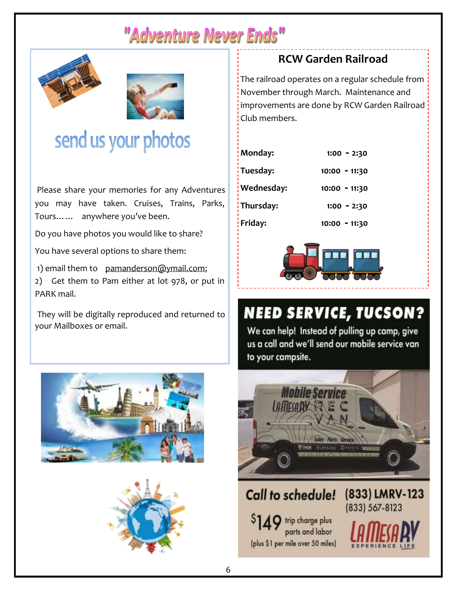# "Adventure Never Ends"





# send us your photos

Please share your memories for any Adventures you may have taken. Cruises, Trains, Parks, Tours…… anywhere you've been.

Do you have photos you would like to share?

You have several options to share them:

1) email them to pamanderson@ymail.com;

2) Get them to Pam either at lot 978, or put in PARK mail.

They will be digitally reproduced and returned to your Mailboxes or email.





### **RCW Garden Railroad**

The railroad operates on a regular schedule from November through March. Maintenance and improvements are done by RCW Garden Railroad Club members.

| Monday:    | $1:00 - 2:30$ |
|------------|---------------|
| Tuesday:   | 10:00 - 11:30 |
| Wednesday: | 10:00 - 11:30 |
| Thursday:  | $1:00 - 2:30$ |
| Friday:    | 10:00 - 11:30 |



# **NEED SERVICE, TUCSON?**

We can help! Instead of pulling up camp, give us a call and we'll send our mobile service van to your campsite.

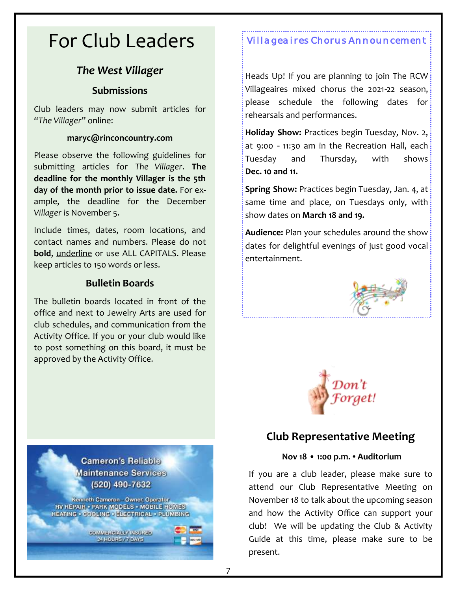# For Club Leaders *Villageaires Chorus Announcement*

### *The West Villager*

### **Submissions**

Club leaders may now submit articles for *"The Villager"* online:

### **maryc@rinconcountry.com**

Please observe the following guidelines for submitting articles for *The Villager*. **The deadline for the monthly Villager is the 5th day of the month prior to issue date.** For example, the deadline for the December *Villager* is November 5.

Include times, dates, room locations, and contact names and numbers. Please do not **bold**, underline or use ALL CAPITALS. Please keep articles to 150 words or less.

### **Bulletin Boards**

The bulletin boards located in front of the office and next to Jewelry Arts are used for club schedules, and communication from the Activity Office. If you or your club would like to post something on this board, it must be approved by the Activity Office.



Heads Up! If you are planning to join The RCW: Villageaires mixed chorus the 2021-22 season, please schedule the following dates for rehearsals and performances.

**Holiday Show:** Practices begin Tuesday, Nov. 2, at 9:00 - 11:30 am in the Recreation Hall, each Tuesday and Thursday, with shows **Dec. 10 and 11.**

**Spring Show:** Practices begin Tuesday, Jan. 4, at same time and place, on Tuesdays only, with show dates on **March 18 and 19.**

**Audience:** Plan your schedules around the show dates for delightful evenings of just good vocal entertainment.





### **Club Representative Meeting**

### **Nov 18 • 1:00 p.m. • Auditorium**

If you are a club leader, please make sure to attend our Club Representative Meeting on November 18 to talk about the upcoming season and how the Activity Office can support your club! We will be updating the Club & Activity Guide at this time, please make sure to be present.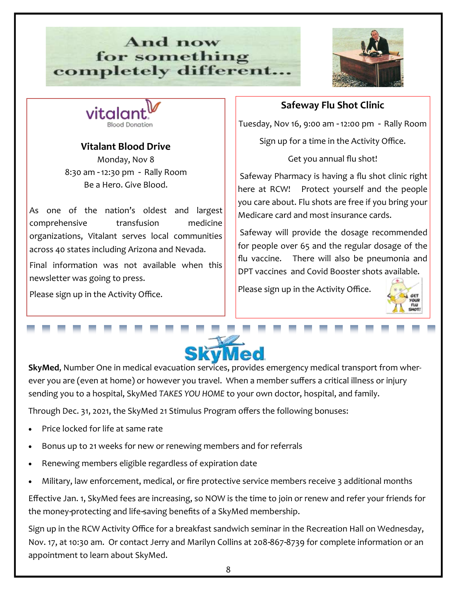### And now for something completely different...





### **Vitalant Blood Drive**

Monday, Nov 8 8:30 am - 12:30 pm - Rally Room Be a Hero. Give Blood.

As one of the nation's oldest and largest comprehensive transfusion medicine organizations, Vitalant serves local communities across 40 states including Arizona and Nevada.

Final information was not available when this newsletter was going to press.

Please sign up in the Activity Office.

### **Safeway Flu Shot Clinic**

Tuesday, Nov 16, 9:00 am - 12:00 pm - Rally Room

Sign up for a time in the Activity Office.

Get you annual flu shot!

Safeway Pharmacy is having a flu shot clinic right here at RCW! Protect yourself and the people you care about. Flu shots are free if you bring your Medicare card and most insurance cards.

Safeway will provide the dosage recommended for people over 65 and the regular dosage of the flu vaccine. There will also be pneumonia and DPT vaccines and Covid Booster shots available.

Please sign up in the Activity Office.





**SkyMed**, Number One in medical evacuation services, provides emergency medical transport from wherever you are (even at home) or however you travel. When a member suffers a critical illness or injury sending you to a hospital, SkyMed *TAKES YOU HOME* to your own doctor, hospital, and family.

Through Dec. 31, 2021, the SkyMed 21 Stimulus Program offers the following bonuses:

- Price locked for life at same rate
- Bonus up to 21 weeks for new or renewing members and for referrals
- Renewing members eligible regardless of expiration date
- Military, law enforcement, medical, or fire protective service members receive 3 additional months

Effective Jan. 1, SkyMed fees are increasing, so NOW is the time to join or renew and refer your friends for the money-protecting and life-saving benefits of a SkyMed membership.

Sign up in the RCW Activity Office for a breakfast sandwich seminar in the Recreation Hall on Wednesday, Nov. 17, at 10:30 am. Or contact Jerry and Marilyn Collins at 208-867-8739 for complete information or an appointment to learn about SkyMed.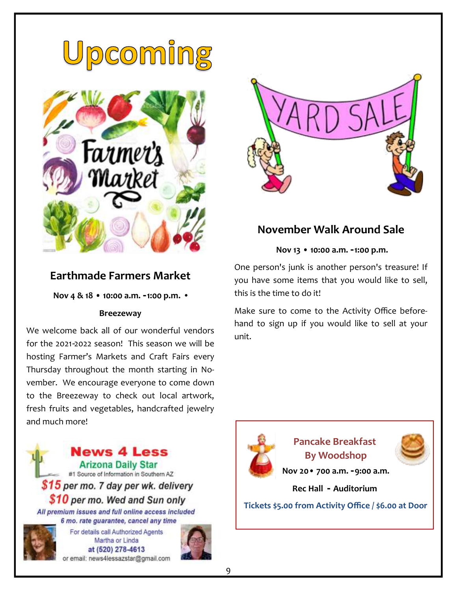





### **November Walk Around Sale**

**Nov 13 • 10:00 a.m. - 1:00 p.m.** 

One person's junk is another person's treasure! If you have some items that you would like to sell, this is the time to do it!

Make sure to come to the Activity Office beforehand to sign up if you would like to sell at your unit.

### **Earthmade Farmers Market**

**Nov 4 & 18 • 10:00 a.m. - 1:00 p.m. •**

### **Breezeway**

We welcome back all of our wonderful vendors for the 2021-2022 season! This season we will be hosting Farmer's Markets and Craft Fairs every Thursday throughout the month starting in November. We encourage everyone to come down to the Breezeway to check out local artwork, fresh fruits and vegetables, handcrafted jewelry and much more!



at (520) 278-4613 or email: news4lessazstar@gmail.com





### **Pancake Breakfast By Woodshop**



**Nov 20• 700 a.m. - 9:00 a.m.** 

**Rec Hall - Auditorium**

**Tickets \$5.00 from Activity Office / \$6.00 at Door**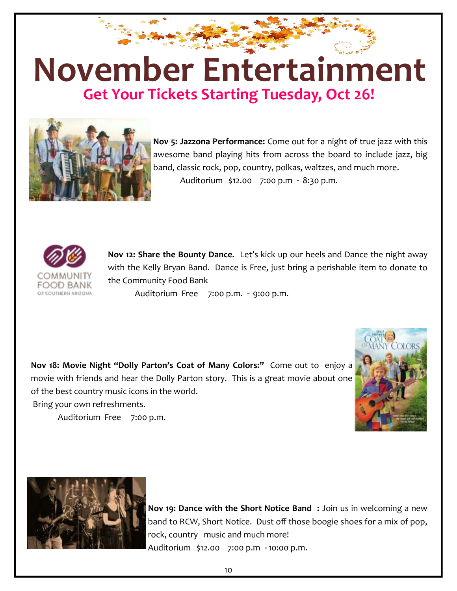## ra<br>Bandar **November EntertainmentGet Your Tickets Starting Tuesday, Oct 26!**



**Nov 5: Jazzona Performance:** Come out for a night of true jazz with this awesome band playing hits from across the board to include jazz, big band, classic rock, pop, country, polkas, waltzes, and much more. Auditorium \$12.00 7:00 p.m - 8:30 p.m.



**Nov 12: Share the Bounty Dance.** Let's kick up our heels and Dance the night away with the Kelly Bryan Band. Dance is Free, just bring a perishable item to donate to the Community Food Bank

Auditorium Free 7:00 p.m. - 9:00 p.m.

**Nov 18: Movie Night "Dolly Parton's Coat of Many Colors:"** Come out to enjoy a movie with friends and hear the Dolly Parton story. This is a great movie about one of the best country music icons in the world.

Bring your own refreshments.

Auditorium Free 7:00 p.m.





**Nov 19: Dance with the Short Notice Band :** Join us in welcoming a new band to RCW, Short Notice. Dust off those boogie shoes for a mix of pop, rock, country music and much more! Auditorium \$12.00 7:00 p.m - 10:00 p.m.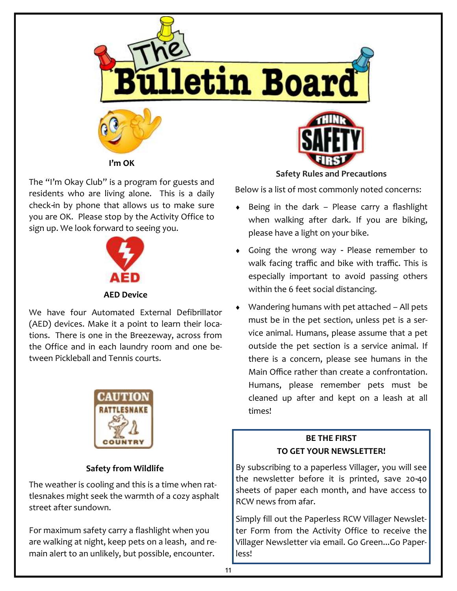

The "I'm Okay Club" is a program for guests and residents who are living alone. This is a daily check-in by phone that allows us to make sure you are OK. Please stop by the Activity Office to sign up. We look forward to seeing you.



We have four Automated External Defibrillator (AED) devices. Make it a point to learn their locations. There is one in the Breezeway, across from the Office and in each laundry room and one between Pickleball and Tennis courts.



### **Safety from Wildlife**

The weather is cooling and this is a time when rattlesnakes might seek the warmth of a cozy asphalt street after sundown.

For maximum safety carry a flashlight when you are walking at night, keep pets on a leash, and remain alert to an unlikely, but possible, encounter.

**Safety Rules and Precautions** 

Below is a list of most commonly noted concerns:

- Being in the dark Please carry a flashlight when walking after dark. If you are biking, please have a light on your bike.
- Going the wrong way Please remember to walk facing traffic and bike with traffic. This is especially important to avoid passing others within the 6 feet social distancing.
- Wandering humans with pet attached All pets must be in the pet section, unless pet is a service animal. Humans, please assume that a pet outside the pet section is a service animal. If there is a concern, please see humans in the Main Office rather than create a confrontation. Humans, please remember pets must be cleaned up after and kept on a leash at all times!

### **BE THE FIRST TO GET YOUR NEWSLETTER!**

By subscribing to a paperless Villager, you will see the newsletter before it is printed, save 20-40 sheets of paper each month, and have access to RCW news from afar.

Simply fill out the Paperless RCW Villager Newsletter Form from the Activity Office to receive the Villager Newsletter via email. Go Green...Go Paperless!